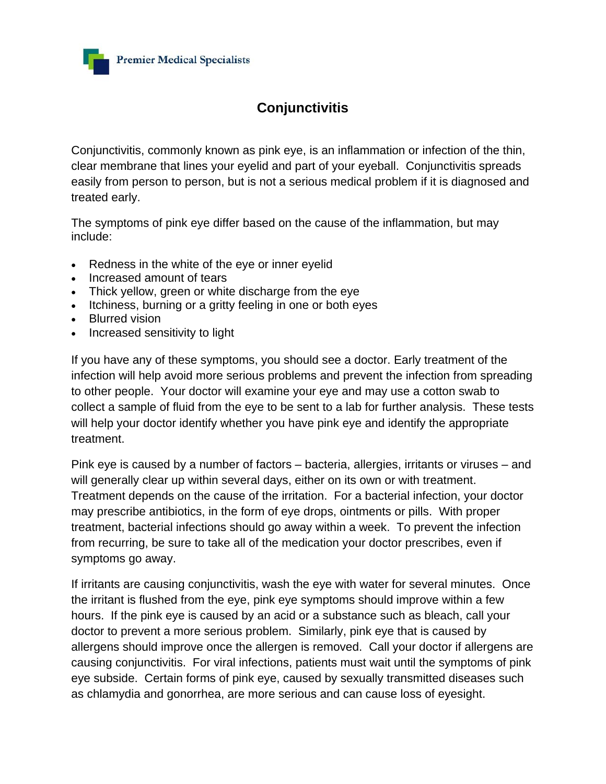

## **Conjunctivitis**

Conjunctivitis, commonly known as pink eye, is an inflammation or infection of the thin, clear membrane that lines your eyelid and part of your eyeball. Conjunctivitis spreads easily from person to person, but is not a serious medical problem if it is diagnosed and treated early.

The symptoms of pink eye differ based on the cause of the inflammation, but may include:

- Redness in the white of the eye or inner eyelid
- Increased amount of tears
- Thick yellow, green or white discharge from the eye
- Itchiness, burning or a gritty feeling in one or both eyes
- Blurred vision
- Increased sensitivity to light

If you have any of these symptoms, you should see a doctor. Early treatment of the infection will help avoid more serious problems and prevent the infection from spreading to other people. Your doctor will examine your eye and may use a cotton swab to collect a sample of fluid from the eye to be sent to a lab for further analysis. These tests will help your doctor identify whether you have pink eye and identify the appropriate treatment.

Pink eye is caused by a number of factors – bacteria, allergies, irritants or viruses – and will generally clear up within several days, either on its own or with treatment. Treatment depends on the cause of the irritation. For a bacterial infection, your doctor may prescribe antibiotics, in the form of eye drops, ointments or pills. With proper treatment, bacterial infections should go away within a week. To prevent the infection from recurring, be sure to take all of the medication your doctor prescribes, even if symptoms go away.

If irritants are causing conjunctivitis, wash the eye with water for several minutes. Once the irritant is flushed from the eye, pink eye symptoms should improve within a few hours. If the pink eye is caused by an acid or a substance such as bleach, call your doctor to prevent a more serious problem. Similarly, pink eye that is caused by allergens should improve once the allergen is removed. Call your doctor if allergens are causing conjunctivitis. For viral infections, patients must wait until the symptoms of pink eye subside. Certain forms of pink eye, caused by sexually transmitted diseases such as chlamydia and gonorrhea, are more serious and can cause loss of eyesight.